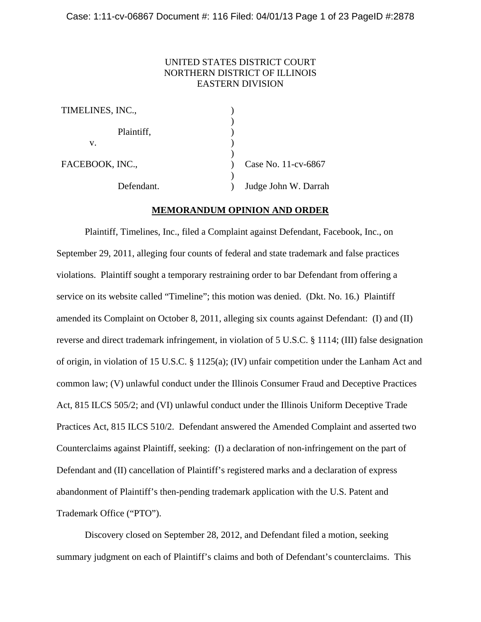# UNITED STATES DISTRICT COURT NORTHERN DISTRICT OF ILLINOIS EASTERN DIVISION

| TIMELINES, INC., |                      |
|------------------|----------------------|
| Plaintiff,       |                      |
| v.               |                      |
| FACEBOOK, INC.,  | Case No. 11-cv-6867  |
| Defendant.       | Judge John W. Darrah |

#### **MEMORANDUM OPINION AND ORDER**

Plaintiff, Timelines, Inc., filed a Complaint against Defendant, Facebook, Inc., on September 29, 2011, alleging four counts of federal and state trademark and false practices violations. Plaintiff sought a temporary restraining order to bar Defendant from offering a service on its website called "Timeline"; this motion was denied. (Dkt. No. 16.) Plaintiff amended its Complaint on October 8, 2011, alleging six counts against Defendant: (I) and (II) reverse and direct trademark infringement, in violation of 5 U.S.C. § 1114; (III) false designation of origin, in violation of 15 U.S.C. § 1125(a); (IV) unfair competition under the Lanham Act and common law; (V) unlawful conduct under the Illinois Consumer Fraud and Deceptive Practices Act, 815 ILCS 505/2; and (VI) unlawful conduct under the Illinois Uniform Deceptive Trade Practices Act, 815 ILCS 510/2. Defendant answered the Amended Complaint and asserted two Counterclaims against Plaintiff, seeking: (I) a declaration of non-infringement on the part of Defendant and (II) cancellation of Plaintiff's registered marks and a declaration of express abandonment of Plaintiff's then-pending trademark application with the U.S. Patent and Trademark Office ("PTO").

Discovery closed on September 28, 2012, and Defendant filed a motion, seeking summary judgment on each of Plaintiff's claims and both of Defendant's counterclaims. This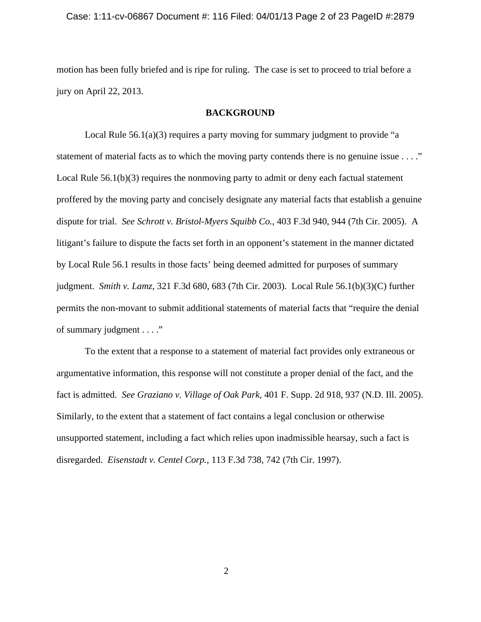motion has been fully briefed and is ripe for ruling. The case is set to proceed to trial before a jury on April 22, 2013.

## **BACKGROUND**

Local Rule 56.1(a)(3) requires a party moving for summary judgment to provide "a statement of material facts as to which the moving party contends there is no genuine issue . . . ." Local Rule 56.1(b)(3) requires the nonmoving party to admit or deny each factual statement proffered by the moving party and concisely designate any material facts that establish a genuine dispute for trial. *See Schrott v. Bristol-Myers Squibb Co.*, 403 F.3d 940, 944 (7th Cir. 2005). A litigant's failure to dispute the facts set forth in an opponent's statement in the manner dictated by Local Rule 56.1 results in those facts' being deemed admitted for purposes of summary judgment. *Smith v. Lamz*, 321 F.3d 680, 683 (7th Cir. 2003). Local Rule 56.1(b)(3)(C) further permits the non-movant to submit additional statements of material facts that "require the denial of summary judgment . . . ."

To the extent that a response to a statement of material fact provides only extraneous or argumentative information, this response will not constitute a proper denial of the fact, and the fact is admitted. *See Graziano v. Village of Oak Park*, 401 F. Supp. 2d 918, 937 (N.D. Ill. 2005). Similarly, to the extent that a statement of fact contains a legal conclusion or otherwise unsupported statement, including a fact which relies upon inadmissible hearsay, such a fact is disregarded. *Eisenstadt v. Centel Corp.*, 113 F.3d 738, 742 (7th Cir. 1997).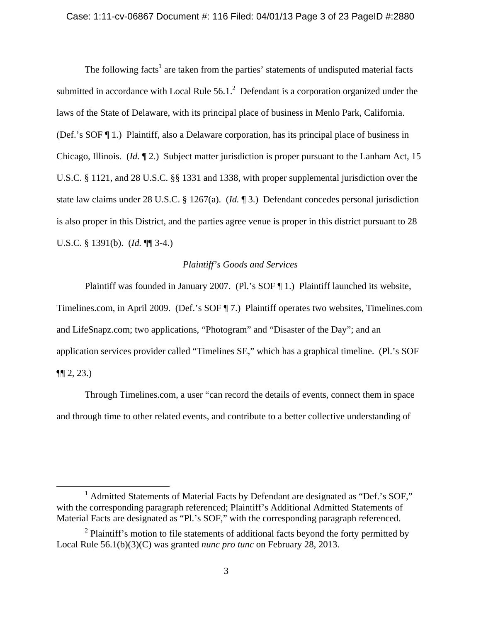The following facts<sup>1</sup> are taken from the parties' statements of undisputed material facts submitted in accordance with Local Rule  $56.1$ .<sup>2</sup> Defendant is a corporation organized under the laws of the State of Delaware, with its principal place of business in Menlo Park, California. (Def.'s SOF ¶ 1.) Plaintiff, also a Delaware corporation, has its principal place of business in Chicago, Illinois. (*Id.* ¶ 2.) Subject matter jurisdiction is proper pursuant to the Lanham Act, 15 U.S.C. § 1121, and 28 U.S.C. §§ 1331 and 1338, with proper supplemental jurisdiction over the state law claims under 28 U.S.C. § 1267(a). (*Id.* ¶ 3.) Defendant concedes personal jurisdiction is also proper in this District, and the parties agree venue is proper in this district pursuant to 28 U.S.C. § 1391(b). (*Id.* ¶¶ 3-4.)

# *Plaintiff's Goods and Services*

Plaintiff was founded in January 2007. (Pl.'s SOF ¶ 1.) Plaintiff launched its website, Timelines.com, in April 2009. (Def.'s SOF ¶ 7.) Plaintiff operates two websites, Timelines.com and LifeSnapz.com; two applications, "Photogram" and "Disaster of the Day"; and an application services provider called "Timelines SE," which has a graphical timeline. (Pl.'s SOF  $\P(2, 23.)$ 

Through Timelines.com, a user "can record the details of events, connect them in space and through time to other related events, and contribute to a better collective understanding of

<sup>&</sup>lt;u>1</u> <sup>1</sup> Admitted Statements of Material Facts by Defendant are designated as "Def.'s SOF," with the corresponding paragraph referenced; Plaintiff's Additional Admitted Statements of Material Facts are designated as "Pl.'s SOF," with the corresponding paragraph referenced.

 $2$  Plaintiff's motion to file statements of additional facts beyond the forty permitted by Local Rule 56.1(b)(3)(C) was granted *nunc pro tunc* on February 28, 2013.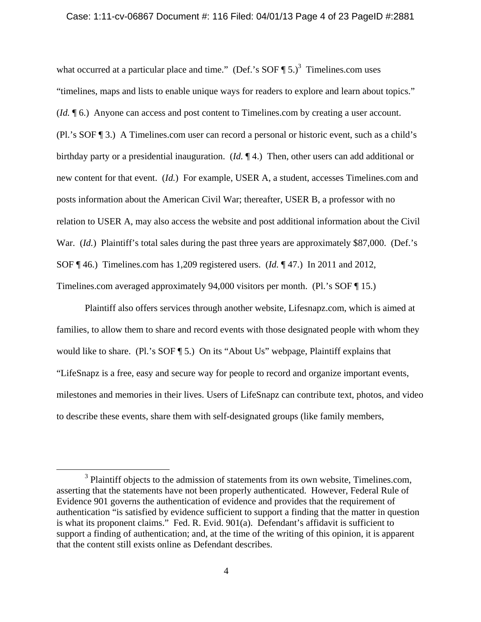what occurred at a particular place and time." (Def.'s SOF  $\P$  5.)<sup>3</sup> Timelines.com uses "timelines, maps and lists to enable unique ways for readers to explore and learn about topics." (*Id.*  $\P$  6.) Anyone can access and post content to Timelines.com by creating a user account. (Pl.'s SOF ¶ 3.) A Timelines.com user can record a personal or historic event, such as a child's birthday party or a presidential inauguration. (*Id.* ¶ 4.) Then, other users can add additional or new content for that event. (*Id.*) For example, USER A, a student, accesses Timelines.com and posts information about the American Civil War; thereafter, USER B, a professor with no relation to USER A, may also access the website and post additional information about the Civil War. *(Id.)* Plaintiff's total sales during the past three years are approximately \$87,000. *(Def.*'s SOF ¶ 46.) Timelines.com has 1,209 registered users. (*Id.* ¶ 47.) In 2011 and 2012, Timelines.com averaged approximately 94,000 visitors per month. (Pl.'s SOF ¶ 15.)

Plaintiff also offers services through another website, Lifesnapz.com, which is aimed at families, to allow them to share and record events with those designated people with whom they would like to share. (Pl.'s SOF ¶ 5.) On its "About Us" webpage, Plaintiff explains that "LifeSnapz is a free, easy and secure way for people to record and organize important events, milestones and memories in their lives. Users of LifeSnapz can contribute text, photos, and video to describe these events, share them with self-designated groups (like family members,

 $\frac{1}{3}$ <sup>3</sup> Plaintiff objects to the admission of statements from its own website, Timelines.com, asserting that the statements have not been properly authenticated. However, Federal Rule of Evidence 901 governs the authentication of evidence and provides that the requirement of authentication "is satisfied by evidence sufficient to support a finding that the matter in question is what its proponent claims." Fed. R. Evid. 901(a). Defendant's affidavit is sufficient to support a finding of authentication; and, at the time of the writing of this opinion, it is apparent that the content still exists online as Defendant describes.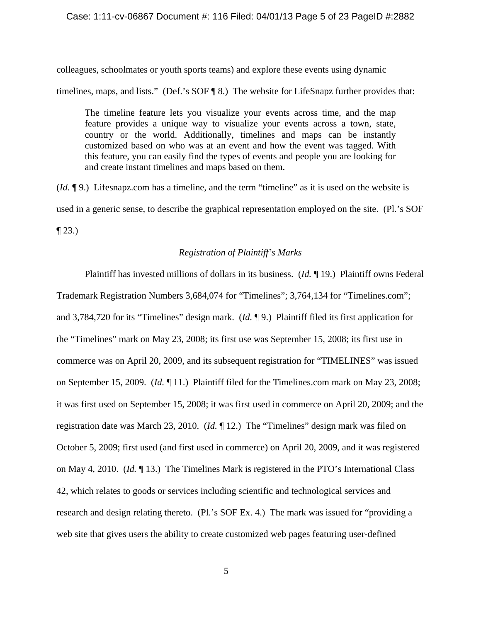### Case: 1:11-cv-06867 Document #: 116 Filed: 04/01/13 Page 5 of 23 PageID #:2882

colleagues, schoolmates or youth sports teams) and explore these events using dynamic

timelines, maps, and lists." (Def.'s SOF ¶ 8.) The website for LifeSnapz further provides that:

The timeline feature lets you visualize your events across time, and the map feature provides a unique way to visualize your events across a town, state, country or the world. Additionally, timelines and maps can be instantly customized based on who was at an event and how the event was tagged. With this feature, you can easily find the types of events and people you are looking for and create instant timelines and maps based on them.

(*Id.* ¶ 9.) Lifesnapz.com has a timeline, and the term "timeline" as it is used on the website is used in a generic sense, to describe the graphical representation employed on the site. (Pl.'s SOF  $\P$  23.)

### *Registration of Plaintiff's Marks*

Plaintiff has invested millions of dollars in its business. (*Id.* ¶ 19.) Plaintiff owns Federal Trademark Registration Numbers 3,684,074 for "Timelines"; 3,764,134 for "Timelines.com"; and 3,784,720 for its "Timelines" design mark. (*Id.* ¶ 9.) Plaintiff filed its first application for the "Timelines" mark on May 23, 2008; its first use was September 15, 2008; its first use in commerce was on April 20, 2009, and its subsequent registration for "TIMELINES" was issued on September 15, 2009. (*Id.* ¶ 11.) Plaintiff filed for the Timelines.com mark on May 23, 2008; it was first used on September 15, 2008; it was first used in commerce on April 20, 2009; and the registration date was March 23, 2010. (*Id.* ¶ 12.) The "Timelines" design mark was filed on October 5, 2009; first used (and first used in commerce) on April 20, 2009, and it was registered on May 4, 2010. (*Id.* ¶ 13.) The Timelines Mark is registered in the PTO's International Class 42, which relates to goods or services including scientific and technological services and research and design relating thereto. (Pl.'s SOF Ex. 4.) The mark was issued for "providing a web site that gives users the ability to create customized web pages featuring user-defined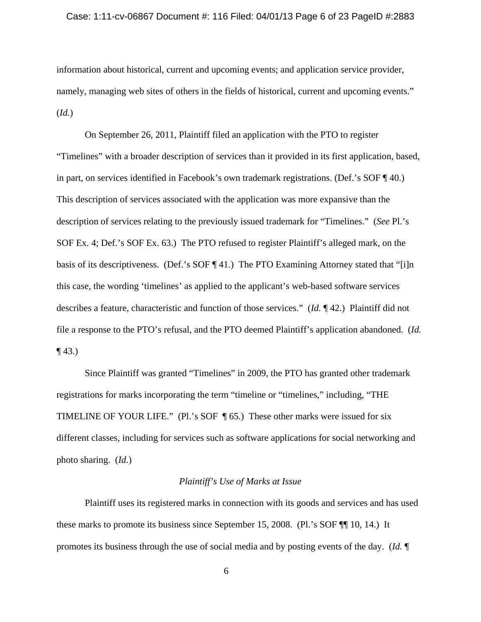#### Case: 1:11-cv-06867 Document #: 116 Filed: 04/01/13 Page 6 of 23 PageID #:2883

information about historical, current and upcoming events; and application service provider, namely, managing web sites of others in the fields of historical, current and upcoming events." (*Id.*)

On September 26, 2011, Plaintiff filed an application with the PTO to register "Timelines" with a broader description of services than it provided in its first application, based, in part, on services identified in Facebook's own trademark registrations. (Def.'s SOF ¶ 40.) This description of services associated with the application was more expansive than the description of services relating to the previously issued trademark for "Timelines." (*See* Pl.'s SOF Ex. 4; Def.'s SOF Ex. 63.) The PTO refused to register Plaintiff's alleged mark, on the basis of its descriptiveness. (Def.'s SOF ¶ 41.) The PTO Examining Attorney stated that "[i]n this case, the wording 'timelines' as applied to the applicant's web-based software services describes a feature, characteristic and function of those services." (*Id.* ¶ 42.) Plaintiff did not file a response to the PTO's refusal, and the PTO deemed Plaintiff's application abandoned. (*Id.*  $\P$  43.)

Since Plaintiff was granted "Timelines" in 2009, the PTO has granted other trademark registrations for marks incorporating the term "timeline or "timelines," including, "THE TIMELINE OF YOUR LIFE." (Pl.'s SOF ¶ 65.) These other marks were issued for six different classes, including for services such as software applications for social networking and photo sharing. (*Id.*)

# *Plaintiff's Use of Marks at Issue*

Plaintiff uses its registered marks in connection with its goods and services and has used these marks to promote its business since September 15, 2008. (Pl.'s SOF ¶¶ 10, 14.) It promotes its business through the use of social media and by posting events of the day. (*Id.* ¶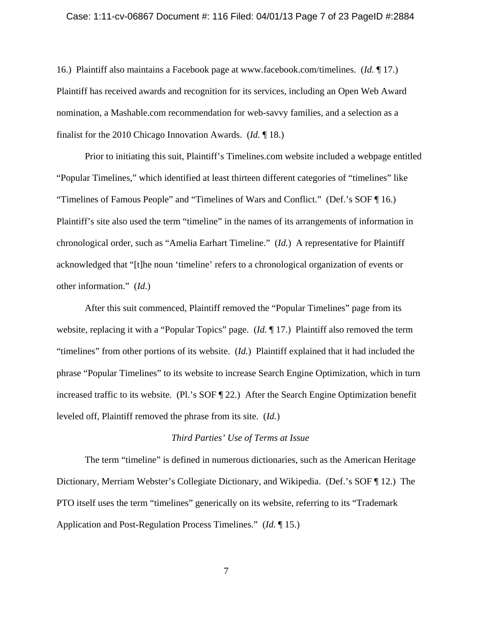16.) Plaintiff also maintains a Facebook page at www.facebook.com/timelines. (*Id.* ¶ 17.) Plaintiff has received awards and recognition for its services, including an Open Web Award nomination, a Mashable.com recommendation for web-savvy families, and a selection as a finalist for the 2010 Chicago Innovation Awards. (*Id.* ¶ 18.)

Prior to initiating this suit, Plaintiff's Timelines.com website included a webpage entitled "Popular Timelines," which identified at least thirteen different categories of "timelines" like "Timelines of Famous People" and "Timelines of Wars and Conflict." (Def.'s SOF ¶ 16.) Plaintiff's site also used the term "timeline" in the names of its arrangements of information in chronological order, such as "Amelia Earhart Timeline." (*Id.*) A representative for Plaintiff acknowledged that "[t]he noun 'timeline' refers to a chronological organization of events or other information." (*Id.*)

After this suit commenced, Plaintiff removed the "Popular Timelines" page from its website, replacing it with a "Popular Topics" page. (*Id.* ¶ 17.) Plaintiff also removed the term "timelines" from other portions of its website. (*Id.*) Plaintiff explained that it had included the phrase "Popular Timelines" to its website to increase Search Engine Optimization, which in turn increased traffic to its website. (Pl.'s SOF ¶ 22.) After the Search Engine Optimization benefit leveled off, Plaintiff removed the phrase from its site. (*Id.*)

# *Third Parties' Use of Terms at Issue*

The term "timeline" is defined in numerous dictionaries, such as the American Heritage Dictionary, Merriam Webster's Collegiate Dictionary, and Wikipedia. (Def.'s SOF ¶ 12.) The PTO itself uses the term "timelines" generically on its website, referring to its "Trademark Application and Post-Regulation Process Timelines." (*Id.* ¶ 15.)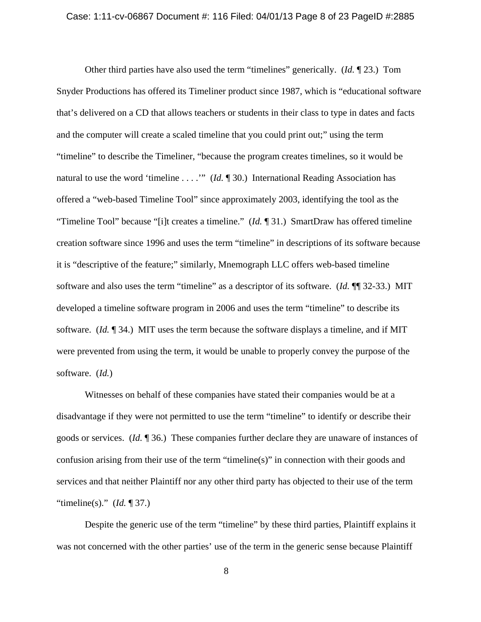Other third parties have also used the term "timelines" generically. (*Id.* ¶ 23.) Tom Snyder Productions has offered its Timeliner product since 1987, which is "educational software that's delivered on a CD that allows teachers or students in their class to type in dates and facts and the computer will create a scaled timeline that you could print out;" using the term "timeline" to describe the Timeliner, "because the program creates timelines, so it would be natural to use the word 'timeline . . . .'" (*Id.* ¶ 30.) International Reading Association has offered a "web-based Timeline Tool" since approximately 2003, identifying the tool as the "Timeline Tool" because "[i]t creates a timeline." (*Id.* ¶ 31.) SmartDraw has offered timeline creation software since 1996 and uses the term "timeline" in descriptions of its software because it is "descriptive of the feature;" similarly, Mnemograph LLC offers web-based timeline software and also uses the term "timeline" as a descriptor of its software. (*Id.* ¶¶ 32-33.) MIT developed a timeline software program in 2006 and uses the term "timeline" to describe its software. (*Id.* ¶ 34.) MIT uses the term because the software displays a timeline, and if MIT were prevented from using the term, it would be unable to properly convey the purpose of the software. (*Id.*)

Witnesses on behalf of these companies have stated their companies would be at a disadvantage if they were not permitted to use the term "timeline" to identify or describe their goods or services. (*Id.* ¶ 36.) These companies further declare they are unaware of instances of confusion arising from their use of the term "timeline(s)" in connection with their goods and services and that neither Plaintiff nor any other third party has objected to their use of the term "timeline(s)." (*Id.* ¶ 37.)

Despite the generic use of the term "timeline" by these third parties, Plaintiff explains it was not concerned with the other parties' use of the term in the generic sense because Plaintiff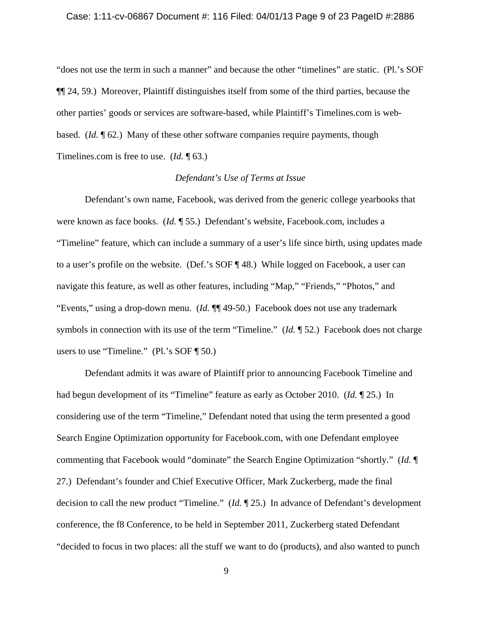#### Case: 1:11-cv-06867 Document #: 116 Filed: 04/01/13 Page 9 of 23 PageID #:2886

"does not use the term in such a manner" and because the other "timelines" are static. (Pl.'s SOF ¶¶ 24, 59.) Moreover, Plaintiff distinguishes itself from some of the third parties, because the other parties' goods or services are software-based, while Plaintiff's Timelines.com is webbased. (*Id.* ¶ 62.) Many of these other software companies require payments, though Timelines.com is free to use. (*Id.* ¶ 63.)

## *Defendant's Use of Terms at Issue*

Defendant's own name, Facebook, was derived from the generic college yearbooks that were known as face books. (*Id.* ¶ 55.) Defendant's website, Facebook.com, includes a "Timeline" feature, which can include a summary of a user's life since birth, using updates made to a user's profile on the website. (Def.'s SOF ¶ 48.) While logged on Facebook, a user can navigate this feature, as well as other features, including "Map," "Friends," "Photos," and "Events," using a drop-down menu. (*Id.* ¶¶ 49-50.) Facebook does not use any trademark symbols in connection with its use of the term "Timeline." (*Id.* ¶ 52.) Facebook does not charge users to use "Timeline." (Pl.'s SOF  $\P$  50.)

Defendant admits it was aware of Plaintiff prior to announcing Facebook Timeline and had begun development of its "Timeline" feature as early as October 2010. (*Id.* ¶ 25.) In considering use of the term "Timeline," Defendant noted that using the term presented a good Search Engine Optimization opportunity for Facebook.com, with one Defendant employee commenting that Facebook would "dominate" the Search Engine Optimization "shortly." (*Id.* ¶ 27.) Defendant's founder and Chief Executive Officer, Mark Zuckerberg, made the final decision to call the new product "Timeline." (*Id.* ¶ 25.) In advance of Defendant's development conference, the f8 Conference, to be held in September 2011, Zuckerberg stated Defendant "decided to focus in two places: all the stuff we want to do (products), and also wanted to punch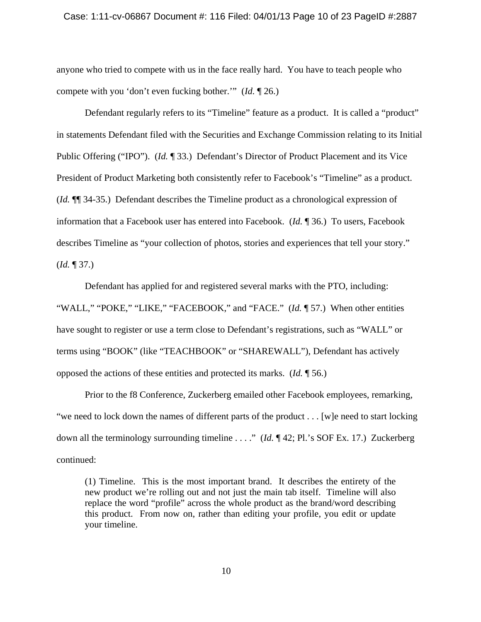#### Case: 1:11-cv-06867 Document #: 116 Filed: 04/01/13 Page 10 of 23 PageID #:2887

anyone who tried to compete with us in the face really hard. You have to teach people who compete with you 'don't even fucking bother.'" (*Id.* ¶ 26.)

Defendant regularly refers to its "Timeline" feature as a product. It is called a "product" in statements Defendant filed with the Securities and Exchange Commission relating to its Initial Public Offering ("IPO"). (*Id.* ¶ 33.) Defendant's Director of Product Placement and its Vice President of Product Marketing both consistently refer to Facebook's "Timeline" as a product. (*Id.* ¶¶ 34-35.) Defendant describes the Timeline product as a chronological expression of information that a Facebook user has entered into Facebook. (*Id.* ¶ 36.) To users, Facebook describes Timeline as "your collection of photos, stories and experiences that tell your story." (*Id.* ¶ 37.)

Defendant has applied for and registered several marks with the PTO, including: "WALL," "POKE," "LIKE," "FACEBOOK," and "FACE." (*Id.* ¶ 57.) When other entities have sought to register or use a term close to Defendant's registrations, such as "WALL" or terms using "BOOK" (like "TEACHBOOK" or "SHAREWALL"), Defendant has actively opposed the actions of these entities and protected its marks. (*Id.* ¶ 56.)

Prior to the f8 Conference, Zuckerberg emailed other Facebook employees, remarking, "we need to lock down the names of different parts of the product . . . [w]e need to start locking down all the terminology surrounding timeline . . . ." (*Id.* ¶ 42; Pl.'s SOF Ex. 17.)Zuckerberg continued:

(1) Timeline. This is the most important brand. It describes the entirety of the new product we're rolling out and not just the main tab itself. Timeline will also replace the word "profile" across the whole product as the brand/word describing this product. From now on, rather than editing your profile, you edit or update your timeline.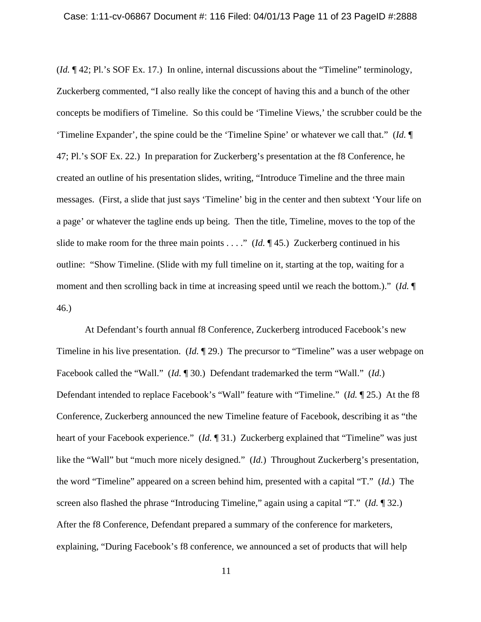(*Id.* ¶ 42; Pl.'s SOF Ex. 17.) In online, internal discussions about the "Timeline" terminology, Zuckerberg commented, "I also really like the concept of having this and a bunch of the other concepts be modifiers of Timeline. So this could be 'Timeline Views,' the scrubber could be the 'Timeline Expander', the spine could be the 'Timeline Spine' or whatever we call that." (*Id.* ¶ 47; Pl.'s SOF Ex. 22.) In preparation for Zuckerberg's presentation at the f8 Conference, he created an outline of his presentation slides, writing, "Introduce Timeline and the three main messages. (First, a slide that just says 'Timeline' big in the center and then subtext 'Your life on a page' or whatever the tagline ends up being. Then the title, Timeline, moves to the top of the slide to make room for the three main points  $\dots$  " (*Id.*  $\P$  45.) Zuckerberg continued in his outline: "Show Timeline. (Slide with my full timeline on it, starting at the top, waiting for a moment and then scrolling back in time at increasing speed until we reach the bottom.)." (*Id.* ¶ 46.)

At Defendant's fourth annual f8 Conference, Zuckerberg introduced Facebook's new Timeline in his live presentation. (*Id.* ¶ 29.) The precursor to "Timeline" was a user webpage on Facebook called the "Wall." (*Id.* ¶ 30.) Defendant trademarked the term "Wall." (*Id.*) Defendant intended to replace Facebook's "Wall" feature with "Timeline." (*Id.* ¶ 25.) At the f8 Conference, Zuckerberg announced the new Timeline feature of Facebook, describing it as "the heart of your Facebook experience." (*Id.* 131.) Zuckerberg explained that "Timeline" was just like the "Wall" but "much more nicely designed." (*Id.*) Throughout Zuckerberg's presentation, the word "Timeline" appeared on a screen behind him, presented with a capital "T." (*Id.*) The screen also flashed the phrase "Introducing Timeline," again using a capital "T." (*Id.* ¶ 32.) After the f8 Conference, Defendant prepared a summary of the conference for marketers, explaining, "During Facebook's f8 conference, we announced a set of products that will help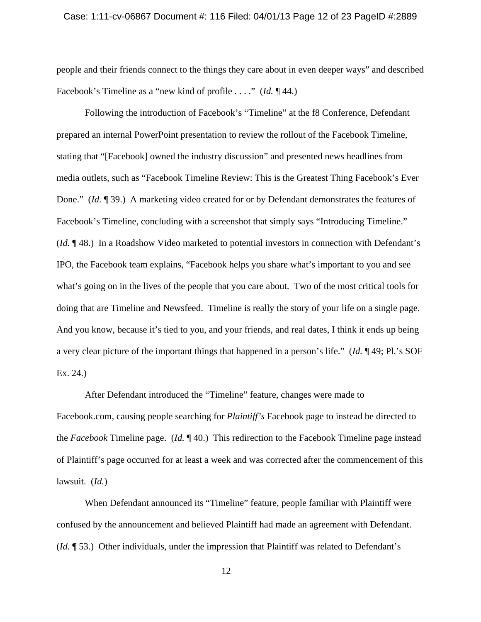people and their friends connect to the things they care about in even deeper ways" and described Facebook's Timeline as a "new kind of profile . . . ." (*Id.* ¶ 44.)

Following the introduction of Facebook's "Timeline" at the f8 Conference, Defendant prepared an internal PowerPoint presentation to review the rollout of the Facebook Timeline, stating that "[Facebook] owned the industry discussion" and presented news headlines from media outlets, such as "Facebook Timeline Review: This is the Greatest Thing Facebook's Ever Done." (*Id.* ¶ 39.) A marketing video created for or by Defendant demonstrates the features of Facebook's Timeline, concluding with a screenshot that simply says "Introducing Timeline." (*Id.* ¶ 48.) In a Roadshow Video marketed to potential investors in connection with Defendant's IPO, the Facebook team explains, "Facebook helps you share what's important to you and see what's going on in the lives of the people that you care about. Two of the most critical tools for doing that are Timeline and Newsfeed. Timeline is really the story of your life on a single page. And you know, because it's tied to you, and your friends, and real dates, I think it ends up being a very clear picture of the important things that happened in a person's life." (*Id.* ¶ 49; Pl.'s SOF Ex. 24.)

After Defendant introduced the "Timeline" feature, changes were made to Facebook.com, causing people searching for *Plaintiff's* Facebook page to instead be directed to the *Facebook* Timeline page. (*Id.* ¶ 40.) This redirection to the Facebook Timeline page instead of Plaintiff's page occurred for at least a week and was corrected after the commencement of this lawsuit. (*Id.*)

When Defendant announced its "Timeline" feature, people familiar with Plaintiff were confused by the announcement and believed Plaintiff had made an agreement with Defendant. (*Id.* ¶ 53.) Other individuals, under the impression that Plaintiff was related to Defendant's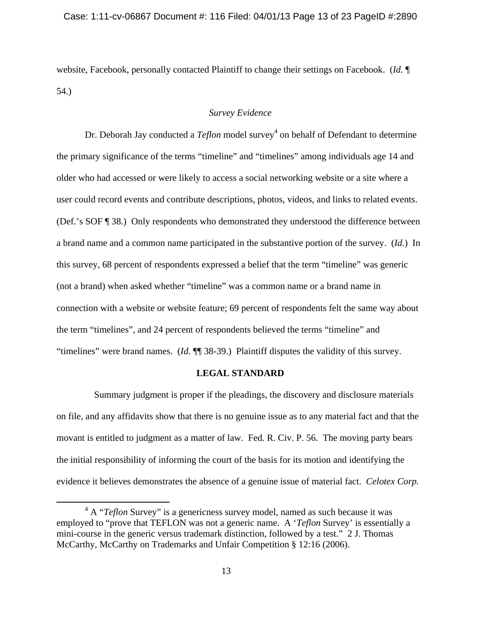website, Facebook, personally contacted Plaintiff to change their settings on Facebook. (*Id.* ¶ 54.)

## *Survey Evidence*

Dr. Deborah Jay conducted a *Teflon* model survey<sup>4</sup> on behalf of Defendant to determine the primary significance of the terms "timeline" and "timelines" among individuals age 14 and older who had accessed or were likely to access a social networking website or a site where a user could record events and contribute descriptions, photos, videos, and links to related events. (Def.'s SOF ¶ 38.) Only respondents who demonstrated they understood the difference between a brand name and a common name participated in the substantive portion of the survey. (*Id.*) In this survey, 68 percent of respondents expressed a belief that the term "timeline" was generic (not a brand) when asked whether "timeline" was a common name or a brand name in connection with a website or website feature; 69 percent of respondents felt the same way about the term "timelines", and 24 percent of respondents believed the terms "timeline" and "timelines" were brand names. (*Id.* ¶¶ 38-39.) Plaintiff disputes the validity of this survey.

### **LEGAL STANDARD**

 Summary judgment is proper if the pleadings, the discovery and disclosure materials on file, and any affidavits show that there is no genuine issue as to any material fact and that the movant is entitled to judgment as a matter of law. Fed. R. Civ. P. 56. The moving party bears the initial responsibility of informing the court of the basis for its motion and identifying the evidence it believes demonstrates the absence of a genuine issue of material fact. *Celotex Corp.* 

 $\overline{4}$ <sup>4</sup> A "*Teflon* Survey" is a genericness survey model, named as such because it was employed to "prove that TEFLON was not a generic name. A '*Teflon* Survey' is essentially a mini-course in the generic versus trademark distinction, followed by a test." 2 J. Thomas McCarthy, McCarthy on Trademarks and Unfair Competition § 12:16 (2006).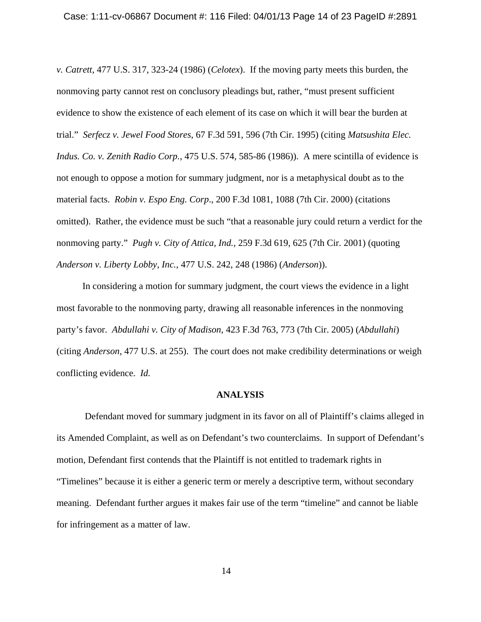*v. Catrett*, 477 U.S. 317, 323-24 (1986) (*Celotex*). If the moving party meets this burden, the nonmoving party cannot rest on conclusory pleadings but, rather, "must present sufficient evidence to show the existence of each element of its case on which it will bear the burden at trial." *Serfecz v. Jewel Food Stores*, 67 F.3d 591, 596 (7th Cir. 1995) (citing *Matsushita Elec. Indus. Co. v. Zenith Radio Corp.*, 475 U.S. 574, 585-86 (1986)). A mere scintilla of evidence is not enough to oppose a motion for summary judgment, nor is a metaphysical doubt as to the material facts. *Robin v. Espo Eng. Corp*., 200 F.3d 1081, 1088 (7th Cir. 2000) (citations omitted). Rather, the evidence must be such "that a reasonable jury could return a verdict for the nonmoving party." *Pugh v. City of Attica, Ind.*, 259 F.3d 619, 625 (7th Cir. 2001) (quoting *Anderson v. Liberty Lobby, Inc.*, 477 U.S. 242, 248 (1986) (*Anderson*)).

 In considering a motion for summary judgment, the court views the evidence in a light most favorable to the nonmoving party, drawing all reasonable inferences in the nonmoving party's favor. *Abdullahi v. City of Madison*, 423 F.3d 763, 773 (7th Cir. 2005) (*Abdullahi*) (citing *Anderson*, 477 U.S. at 255). The court does not make credibility determinations or weigh conflicting evidence. *Id.*

### **ANALYSIS**

Defendant moved for summary judgment in its favor on all of Plaintiff's claims alleged in its Amended Complaint, as well as on Defendant's two counterclaims. In support of Defendant's motion, Defendant first contends that the Plaintiff is not entitled to trademark rights in "Timelines" because it is either a generic term or merely a descriptive term, without secondary meaning. Defendant further argues it makes fair use of the term "timeline" and cannot be liable for infringement as a matter of law.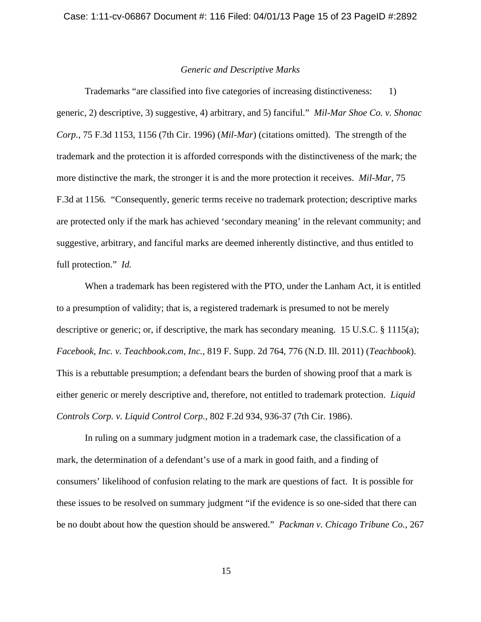#### Case: 1:11-cv-06867 Document #: 116 Filed: 04/01/13 Page 15 of 23 PageID #:2892

## *Generic and Descriptive Marks*

Trademarks "are classified into five categories of increasing distinctiveness: 1) generic, 2) descriptive, 3) suggestive, 4) arbitrary, and 5) fanciful." *Mil-Mar Shoe Co. v. Shonac Corp.*, 75 F.3d 1153, 1156 (7th Cir. 1996) (*Mil-Mar*) (citations omitted). The strength of the trademark and the protection it is afforded corresponds with the distinctiveness of the mark; the more distinctive the mark, the stronger it is and the more protection it receives. *Mil-Mar*, 75 F.3d at 1156*.* "Consequently, generic terms receive no trademark protection; descriptive marks are protected only if the mark has achieved 'secondary meaning' in the relevant community; and suggestive, arbitrary, and fanciful marks are deemed inherently distinctive, and thus entitled to full protection." *Id.*

When a trademark has been registered with the PTO, under the Lanham Act, it is entitled to a presumption of validity; that is, a registered trademark is presumed to not be merely descriptive or generic; or, if descriptive, the mark has secondary meaning. 15 U.S.C. § 1115(a); *Facebook, Inc. v. Teachbook.com, Inc.*, 819 F. Supp. 2d 764, 776 (N.D. Ill. 2011) (*Teachbook*). This is a rebuttable presumption; a defendant bears the burden of showing proof that a mark is either generic or merely descriptive and, therefore, not entitled to trademark protection. *Liquid Controls Corp. v. Liquid Control Corp.*, 802 F.2d 934, 936-37 (7th Cir. 1986).

In ruling on a summary judgment motion in a trademark case, the classification of a mark, the determination of a defendant's use of a mark in good faith, and a finding of consumers' likelihood of confusion relating to the mark are questions of fact. It is possible for these issues to be resolved on summary judgment "if the evidence is so one-sided that there can be no doubt about how the question should be answered." *Packman v. Chicago Tribune Co.*, 267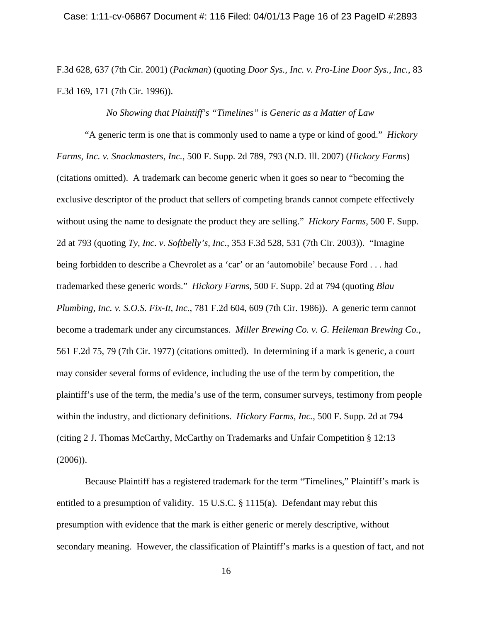F.3d 628, 637 (7th Cir. 2001) (*Packman*) (quoting *Door Sys., Inc. v. Pro-Line Door Sys., Inc.*, 83 F.3d 169, 171 (7th Cir. 1996)).

### *No Showing that Plaintiff's "Timelines" is Generic as a Matter of Law*

"A generic term is one that is commonly used to name a type or kind of good." *Hickory Farms, Inc. v. Snackmasters, Inc.*, 500 F. Supp. 2d 789, 793 (N.D. Ill. 2007) (*Hickory Farms*) (citations omitted). A trademark can become generic when it goes so near to "becoming the exclusive descriptor of the product that sellers of competing brands cannot compete effectively without using the name to designate the product they are selling." *Hickory Farms*, 500 F. Supp. 2d at 793 (quoting *Ty, Inc. v. Softbelly's, Inc.*, 353 F.3d 528, 531 (7th Cir. 2003)). "Imagine being forbidden to describe a Chevrolet as a 'car' or an 'automobile' because Ford . . . had trademarked these generic words." *Hickory Farms*, 500 F. Supp. 2d at 794 (quoting *Blau Plumbing, Inc. v. S.O.S. Fix-It, Inc.*, 781 F.2d 604, 609 (7th Cir. 1986)). A generic term cannot become a trademark under any circumstances. *Miller Brewing Co. v. G. Heileman Brewing Co.*, 561 F.2d 75, 79 (7th Cir. 1977) (citations omitted). In determining if a mark is generic, a court may consider several forms of evidence, including the use of the term by competition, the plaintiff's use of the term, the media's use of the term, consumer surveys, testimony from people within the industry, and dictionary definitions. *Hickory Farms, Inc.*, 500 F. Supp. 2d at 794 (citing 2 J. Thomas McCarthy, McCarthy on Trademarks and Unfair Competition § 12:13  $(2006)$ ).

Because Plaintiff has a registered trademark for the term "Timelines," Plaintiff's mark is entitled to a presumption of validity. 15 U.S.C. § 1115(a). Defendant may rebut this presumption with evidence that the mark is either generic or merely descriptive, without secondary meaning. However, the classification of Plaintiff's marks is a question of fact, and not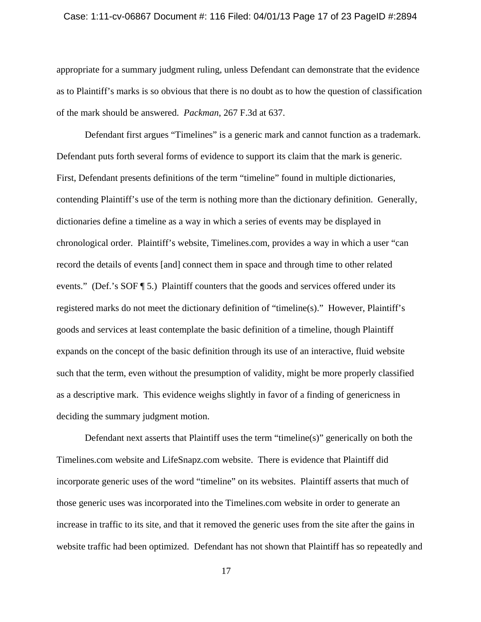#### Case: 1:11-cv-06867 Document #: 116 Filed: 04/01/13 Page 17 of 23 PageID #:2894

appropriate for a summary judgment ruling, unless Defendant can demonstrate that the evidence as to Plaintiff's marks is so obvious that there is no doubt as to how the question of classification of the mark should be answered. *Packman*, 267 F.3d at 637.

Defendant first argues "Timelines" is a generic mark and cannot function as a trademark. Defendant puts forth several forms of evidence to support its claim that the mark is generic. First, Defendant presents definitions of the term "timeline" found in multiple dictionaries, contending Plaintiff's use of the term is nothing more than the dictionary definition. Generally, dictionaries define a timeline as a way in which a series of events may be displayed in chronological order. Plaintiff's website, Timelines.com, provides a way in which a user "can record the details of events [and] connect them in space and through time to other related events." (Def.'s SOF ¶ 5.) Plaintiff counters that the goods and services offered under its registered marks do not meet the dictionary definition of "timeline(s)." However, Plaintiff's goods and services at least contemplate the basic definition of a timeline, though Plaintiff expands on the concept of the basic definition through its use of an interactive, fluid website such that the term, even without the presumption of validity, might be more properly classified as a descriptive mark. This evidence weighs slightly in favor of a finding of genericness in deciding the summary judgment motion.

Defendant next asserts that Plaintiff uses the term "timeline(s)" generically on both the Timelines.com website and LifeSnapz.com website. There is evidence that Plaintiff did incorporate generic uses of the word "timeline" on its websites. Plaintiff asserts that much of those generic uses was incorporated into the Timelines.com website in order to generate an increase in traffic to its site, and that it removed the generic uses from the site after the gains in website traffic had been optimized. Defendant has not shown that Plaintiff has so repeatedly and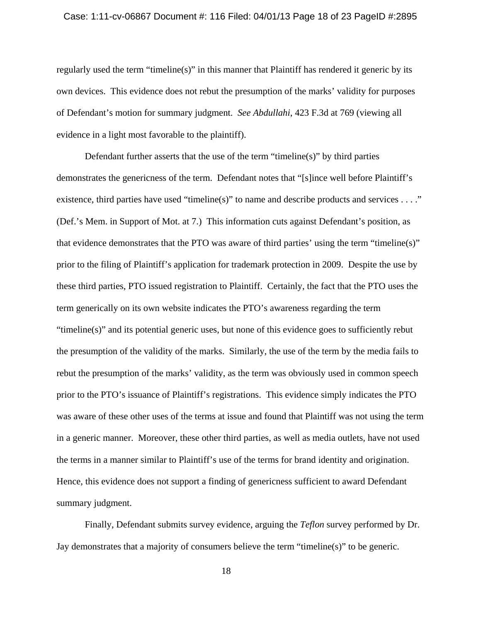#### Case: 1:11-cv-06867 Document #: 116 Filed: 04/01/13 Page 18 of 23 PageID #:2895

regularly used the term "timeline(s)" in this manner that Plaintiff has rendered it generic by its own devices. This evidence does not rebut the presumption of the marks' validity for purposes of Defendant's motion for summary judgment. *See Abdullahi*, 423 F.3d at 769 (viewing all evidence in a light most favorable to the plaintiff).

Defendant further asserts that the use of the term "timeline(s)" by third parties demonstrates the genericness of the term. Defendant notes that "[s]ince well before Plaintiff's existence, third parties have used "timeline(s)" to name and describe products and services . . . ." (Def.'s Mem. in Support of Mot. at 7.) This information cuts against Defendant's position, as that evidence demonstrates that the PTO was aware of third parties' using the term "timeline(s)" prior to the filing of Plaintiff's application for trademark protection in 2009. Despite the use by these third parties, PTO issued registration to Plaintiff. Certainly, the fact that the PTO uses the term generically on its own website indicates the PTO's awareness regarding the term "timeline(s)" and its potential generic uses, but none of this evidence goes to sufficiently rebut the presumption of the validity of the marks. Similarly, the use of the term by the media fails to rebut the presumption of the marks' validity, as the term was obviously used in common speech prior to the PTO's issuance of Plaintiff's registrations. This evidence simply indicates the PTO was aware of these other uses of the terms at issue and found that Plaintiff was not using the term in a generic manner. Moreover, these other third parties, as well as media outlets, have not used the terms in a manner similar to Plaintiff's use of the terms for brand identity and origination. Hence, this evidence does not support a finding of genericness sufficient to award Defendant summary judgment.

Finally, Defendant submits survey evidence, arguing the *Teflon* survey performed by Dr. Jay demonstrates that a majority of consumers believe the term "timeline(s)" to be generic.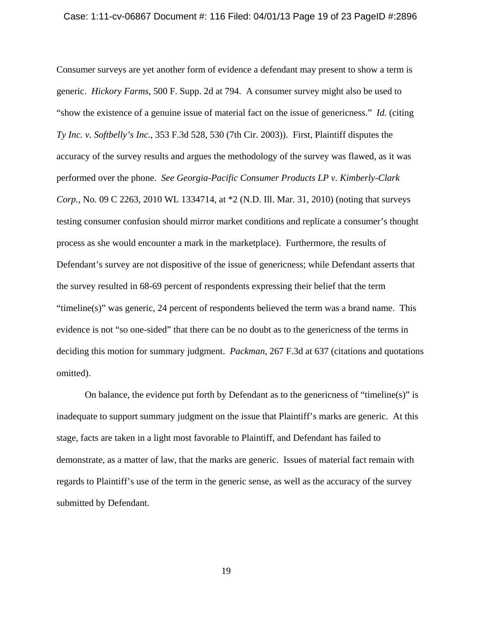Consumer surveys are yet another form of evidence a defendant may present to show a term is generic. *Hickory Farms*, 500 F. Supp. 2d at 794. A consumer survey might also be used to "show the existence of a genuine issue of material fact on the issue of genericness." *Id.* (citing *Ty Inc. v. Softbelly's Inc.*, 353 F.3d 528, 530 (7th Cir. 2003)). First, Plaintiff disputes the accuracy of the survey results and argues the methodology of the survey was flawed, as it was performed over the phone. *See Georgia-Pacific Consumer Products LP v. Kimberly-Clark Corp.*, No. 09 C 2263, 2010 WL 1334714, at \*2 (N.D. Ill. Mar. 31, 2010) (noting that surveys testing consumer confusion should mirror market conditions and replicate a consumer's thought process as she would encounter a mark in the marketplace). Furthermore, the results of Defendant's survey are not dispositive of the issue of genericness; while Defendant asserts that the survey resulted in 68-69 percent of respondents expressing their belief that the term "timeline(s)" was generic, 24 percent of respondents believed the term was a brand name. This evidence is not "so one-sided" that there can be no doubt as to the genericness of the terms in deciding this motion for summary judgment. *Packman*, 267 F.3d at 637 (citations and quotations omitted).

On balance, the evidence put forth by Defendant as to the genericness of "timeline(s)" is inadequate to support summary judgment on the issue that Plaintiff's marks are generic. At this stage, facts are taken in a light most favorable to Plaintiff, and Defendant has failed to demonstrate, as a matter of law, that the marks are generic. Issues of material fact remain with regards to Plaintiff's use of the term in the generic sense, as well as the accuracy of the survey submitted by Defendant.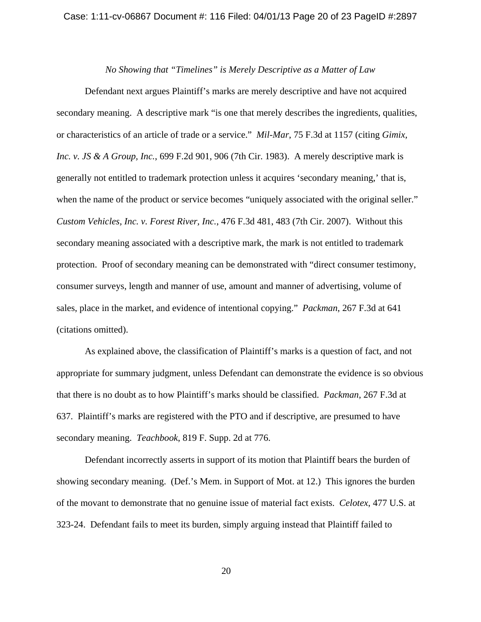#### Case: 1:11-cv-06867 Document #: 116 Filed: 04/01/13 Page 20 of 23 PageID #:2897

### *No Showing that "Timelines" is Merely Descriptive as a Matter of Law*

Defendant next argues Plaintiff's marks are merely descriptive and have not acquired secondary meaning. A descriptive mark "is one that merely describes the ingredients, qualities, or characteristics of an article of trade or a service." *Mil-Mar*, 75 F.3d at 1157 (citing *Gimix, Inc. v. JS & A Group, Inc.*, 699 F.2d 901, 906 (7th Cir. 1983). A merely descriptive mark is generally not entitled to trademark protection unless it acquires 'secondary meaning,' that is, when the name of the product or service becomes "uniquely associated with the original seller." *Custom Vehicles, Inc. v. Forest River, Inc.*, 476 F.3d 481, 483 (7th Cir. 2007). Without this secondary meaning associated with a descriptive mark, the mark is not entitled to trademark protection. Proof of secondary meaning can be demonstrated with "direct consumer testimony, consumer surveys, length and manner of use, amount and manner of advertising, volume of sales, place in the market, and evidence of intentional copying." *Packman*, 267 F.3d at 641 (citations omitted).

As explained above, the classification of Plaintiff's marks is a question of fact, and not appropriate for summary judgment, unless Defendant can demonstrate the evidence is so obvious that there is no doubt as to how Plaintiff's marks should be classified. *Packman*, 267 F.3d at 637. Plaintiff's marks are registered with the PTO and if descriptive, are presumed to have secondary meaning. *Teachbook*, 819 F. Supp. 2d at 776.

Defendant incorrectly asserts in support of its motion that Plaintiff bears the burden of showing secondary meaning. (Def.'s Mem. in Support of Mot. at 12.) This ignores the burden of the movant to demonstrate that no genuine issue of material fact exists. *Celotex*, 477 U.S. at 323-24. Defendant fails to meet its burden, simply arguing instead that Plaintiff failed to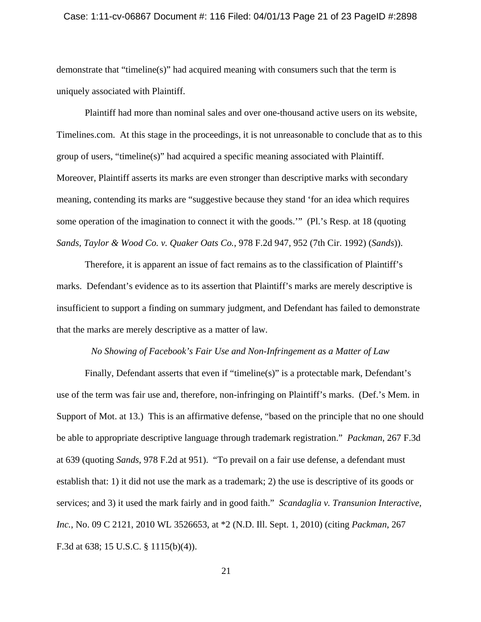#### Case: 1:11-cv-06867 Document #: 116 Filed: 04/01/13 Page 21 of 23 PageID #:2898

demonstrate that "timeline(s)" had acquired meaning with consumers such that the term is uniquely associated with Plaintiff.

Plaintiff had more than nominal sales and over one-thousand active users on its website, Timelines.com. At this stage in the proceedings, it is not unreasonable to conclude that as to this group of users, "timeline(s)" had acquired a specific meaning associated with Plaintiff. Moreover, Plaintiff asserts its marks are even stronger than descriptive marks with secondary meaning, contending its marks are "suggestive because they stand 'for an idea which requires some operation of the imagination to connect it with the goods." (Pl.'s Resp. at 18 (quoting *Sands, Taylor & Wood Co. v. Quaker Oats Co.*, 978 F.2d 947, 952 (7th Cir. 1992) (*Sands*)).

Therefore, it is apparent an issue of fact remains as to the classification of Plaintiff's marks. Defendant's evidence as to its assertion that Plaintiff's marks are merely descriptive is insufficient to support a finding on summary judgment, and Defendant has failed to demonstrate that the marks are merely descriptive as a matter of law.

## *No Showing of Facebook's Fair Use and Non-Infringement as a Matter of Law*

Finally, Defendant asserts that even if "timeline(s)" is a protectable mark, Defendant's use of the term was fair use and, therefore, non-infringing on Plaintiff's marks. (Def.'s Mem. in Support of Mot. at 13.) This is an affirmative defense, "based on the principle that no one should be able to appropriate descriptive language through trademark registration." *Packman*, 267 F.3d at 639 (quoting *Sands*, 978 F.2d at 951). "To prevail on a fair use defense, a defendant must establish that: 1) it did not use the mark as a trademark; 2) the use is descriptive of its goods or services; and 3) it used the mark fairly and in good faith." *Scandaglia v. Transunion Interactive, Inc.*, No. 09 C 2121, 2010 WL 3526653, at \*2 (N.D. Ill. Sept. 1, 2010) (citing *Packman*, 267 F.3d at 638; 15 U.S.C. § 1115(b)(4)).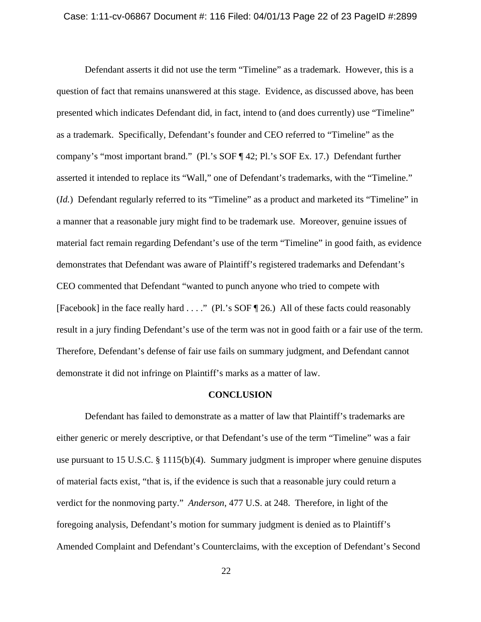Defendant asserts it did not use the term "Timeline" as a trademark. However, this is a question of fact that remains unanswered at this stage. Evidence, as discussed above, has been presented which indicates Defendant did, in fact, intend to (and does currently) use "Timeline" as a trademark. Specifically, Defendant's founder and CEO referred to "Timeline" as the company's "most important brand." (Pl.'s SOF ¶ 42; Pl.'s SOF Ex. 17.) Defendant further asserted it intended to replace its "Wall," one of Defendant's trademarks, with the "Timeline." (*Id.*) Defendant regularly referred to its "Timeline" as a product and marketed its "Timeline" in a manner that a reasonable jury might find to be trademark use. Moreover, genuine issues of material fact remain regarding Defendant's use of the term "Timeline" in good faith, as evidence demonstrates that Defendant was aware of Plaintiff's registered trademarks and Defendant's CEO commented that Defendant "wanted to punch anyone who tried to compete with [Facebook] in the face really hard . . . ." (Pl.'s SOF ¶ 26.) All of these facts could reasonably result in a jury finding Defendant's use of the term was not in good faith or a fair use of the term. Therefore, Defendant's defense of fair use fails on summary judgment, and Defendant cannot demonstrate it did not infringe on Plaintiff's marks as a matter of law.

### **CONCLUSION**

Defendant has failed to demonstrate as a matter of law that Plaintiff's trademarks are either generic or merely descriptive, or that Defendant's use of the term "Timeline" was a fair use pursuant to 15 U.S.C. § 1115(b)(4). Summary judgment is improper where genuine disputes of material facts exist, "that is, if the evidence is such that a reasonable jury could return a verdict for the nonmoving party." *Anderson*, 477 U.S. at 248. Therefore, in light of the foregoing analysis, Defendant's motion for summary judgment is denied as to Plaintiff's Amended Complaint and Defendant's Counterclaims, with the exception of Defendant's Second